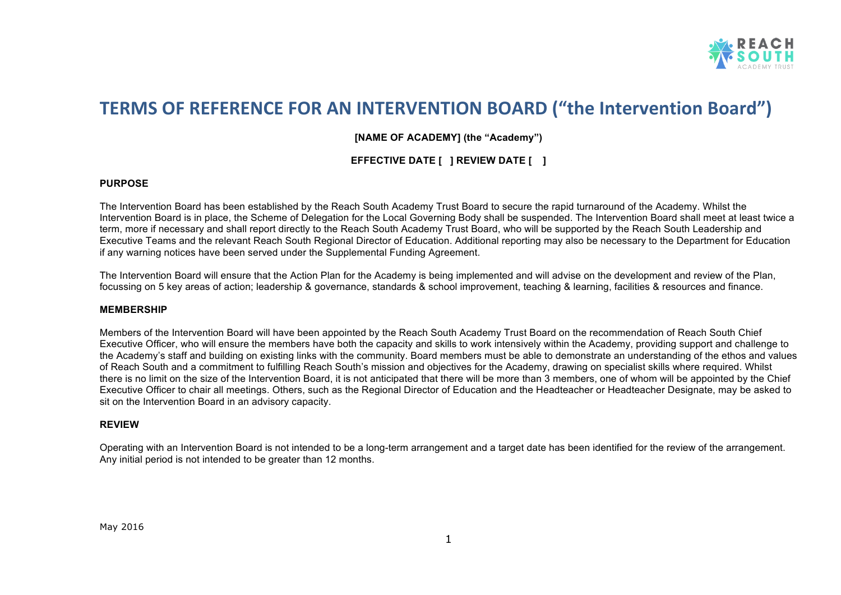

## **TERMS OF REFERENCE FOR AN INTERVENTION BOARD ("the Intervention Board")**

**[NAME OF ACADEMY] (the "Academy")**

**EFFECTIVE DATE [ ] REVIEW DATE [ ]**

## **PURPOSE**

The Intervention Board has been established by the Reach South Academy Trust Board to secure the rapid turnaround of the Academy. Whilst the Intervention Board is in place, the Scheme of Delegation for the Local Governing Body shall be suspended. The Intervention Board shall meet at least twice a term, more if necessary and shall report directly to the Reach South Academy Trust Board, who will be supported by the Reach South Leadership and Executive Teams and the relevant Reach South Regional Director of Education. Additional reporting may also be necessary to the Department for Education if any warning notices have been served under the Supplemental Funding Agreement.

The Intervention Board will ensure that the Action Plan for the Academy is being implemented and will advise on the development and review of the Plan, focussing on 5 key areas of action; leadership & governance, standards & school improvement, teaching & learning, facilities & resources and finance.

## **MEMBERSHIP**

Members of the Intervention Board will have been appointed by the Reach South Academy Trust Board on the recommendation of Reach South Chief Executive Officer, who will ensure the members have both the capacity and skills to work intensively within the Academy, providing support and challenge to the Academy's staff and building on existing links with the community. Board members must be able to demonstrate an understanding of the ethos and values of Reach South and a commitment to fulfilling Reach South's mission and objectives for the Academy, drawing on specialist skills where required. Whilst there is no limit on the size of the Intervention Board, it is not anticipated that there will be more than 3 members, one of whom will be appointed by the Chief Executive Officer to chair all meetings. Others, such as the Regional Director of Education and the Headteacher or Headteacher Designate, may be asked to sit on the Intervention Board in an advisory capacity.

## **REVIEW**

Operating with an Intervention Board is not intended to be a long-term arrangement and a target date has been identified for the review of the arrangement. Any initial period is not intended to be greater than 12 months.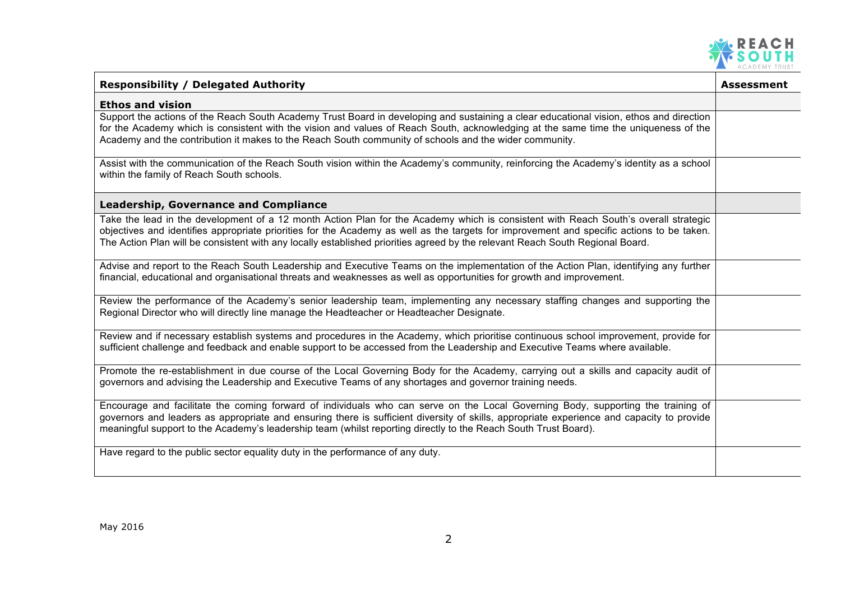

| <b>Responsibility / Delegated Authority</b>                                                                                                                                                                                                                                                                                                                                                                       | <b>Assessment</b> |
|-------------------------------------------------------------------------------------------------------------------------------------------------------------------------------------------------------------------------------------------------------------------------------------------------------------------------------------------------------------------------------------------------------------------|-------------------|
| <b>Ethos and vision</b>                                                                                                                                                                                                                                                                                                                                                                                           |                   |
| Support the actions of the Reach South Academy Trust Board in developing and sustaining a clear educational vision, ethos and direction<br>for the Academy which is consistent with the vision and values of Reach South, acknowledging at the same time the uniqueness of the<br>Academy and the contribution it makes to the Reach South community of schools and the wider community.                          |                   |
| Assist with the communication of the Reach South vision within the Academy's community, reinforcing the Academy's identity as a school<br>within the family of Reach South schools.                                                                                                                                                                                                                               |                   |
| <b>Leadership, Governance and Compliance</b>                                                                                                                                                                                                                                                                                                                                                                      |                   |
| Take the lead in the development of a 12 month Action Plan for the Academy which is consistent with Reach South's overall strategic<br>objectives and identifies appropriate priorities for the Academy as well as the targets for improvement and specific actions to be taken.<br>The Action Plan will be consistent with any locally established priorities agreed by the relevant Reach South Regional Board. |                   |
| Advise and report to the Reach South Leadership and Executive Teams on the implementation of the Action Plan, identifying any further<br>financial, educational and organisational threats and weaknesses as well as opportunities for growth and improvement.                                                                                                                                                    |                   |
| Review the performance of the Academy's senior leadership team, implementing any necessary staffing changes and supporting the<br>Regional Director who will directly line manage the Headteacher or Headteacher Designate.                                                                                                                                                                                       |                   |
| Review and if necessary establish systems and procedures in the Academy, which prioritise continuous school improvement, provide for<br>sufficient challenge and feedback and enable support to be accessed from the Leadership and Executive Teams where available.                                                                                                                                              |                   |
| Promote the re-establishment in due course of the Local Governing Body for the Academy, carrying out a skills and capacity audit of<br>governors and advising the Leadership and Executive Teams of any shortages and governor training needs.                                                                                                                                                                    |                   |
| Encourage and facilitate the coming forward of individuals who can serve on the Local Governing Body, supporting the training of<br>governors and leaders as appropriate and ensuring there is sufficient diversity of skills, appropriate experience and capacity to provide<br>meaningful support to the Academy's leadership team (whilst reporting directly to the Reach South Trust Board).                  |                   |
| Have regard to the public sector equality duty in the performance of any duty.                                                                                                                                                                                                                                                                                                                                    |                   |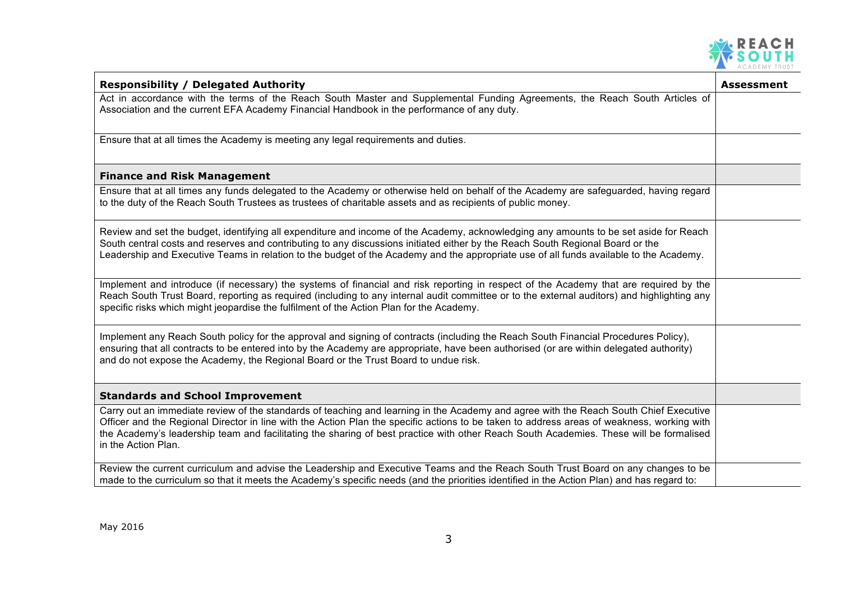

| <b>Responsibility / Delegated Authority</b>                                                                                                                                                                                                                                                                                                                                                                                                          | <b>Assessment</b> |
|------------------------------------------------------------------------------------------------------------------------------------------------------------------------------------------------------------------------------------------------------------------------------------------------------------------------------------------------------------------------------------------------------------------------------------------------------|-------------------|
| Act in accordance with the terms of the Reach South Master and Supplemental Funding Agreements, the Reach South Articles of<br>Association and the current EFA Academy Financial Handbook in the performance of any duty.                                                                                                                                                                                                                            |                   |
| Ensure that at all times the Academy is meeting any legal requirements and duties.                                                                                                                                                                                                                                                                                                                                                                   |                   |
| <b>Finance and Risk Management</b>                                                                                                                                                                                                                                                                                                                                                                                                                   |                   |
| Ensure that at all times any funds delegated to the Academy or otherwise held on behalf of the Academy are safeguarded, having regard<br>to the duty of the Reach South Trustees as trustees of charitable assets and as recipients of public money.                                                                                                                                                                                                 |                   |
| Review and set the budget, identifying all expenditure and income of the Academy, acknowledging any amounts to be set aside for Reach<br>South central costs and reserves and contributing to any discussions initiated either by the Reach South Regional Board or the<br>Leadership and Executive Teams in relation to the budget of the Academy and the appropriate use of all funds available to the Academy.                                    |                   |
| Implement and introduce (if necessary) the systems of financial and risk reporting in respect of the Academy that are required by the<br>Reach South Trust Board, reporting as required (including to any internal audit committee or to the external auditors) and highlighting any<br>specific risks which might jeopardise the fulfilment of the Action Plan for the Academy.                                                                     |                   |
| Implement any Reach South policy for the approval and signing of contracts (including the Reach South Financial Procedures Policy),<br>ensuring that all contracts to be entered into by the Academy are appropriate, have been authorised (or are within delegated authority)<br>and do not expose the Academy, the Regional Board or the Trust Board to undue risk.                                                                                |                   |
| <b>Standards and School Improvement</b>                                                                                                                                                                                                                                                                                                                                                                                                              |                   |
| Carry out an immediate review of the standards of teaching and learning in the Academy and agree with the Reach South Chief Executive<br>Officer and the Regional Director in line with the Action Plan the specific actions to be taken to address areas of weakness, working with<br>the Academy's leadership team and facilitating the sharing of best practice with other Reach South Academies. These will be formalised<br>in the Action Plan. |                   |
| Review the current curriculum and advise the Leadership and Executive Teams and the Reach South Trust Board on any changes to be<br>made to the curriculum so that it meets the Academy's specific needs (and the priorities identified in the Action Plan) and has regard to:                                                                                                                                                                       |                   |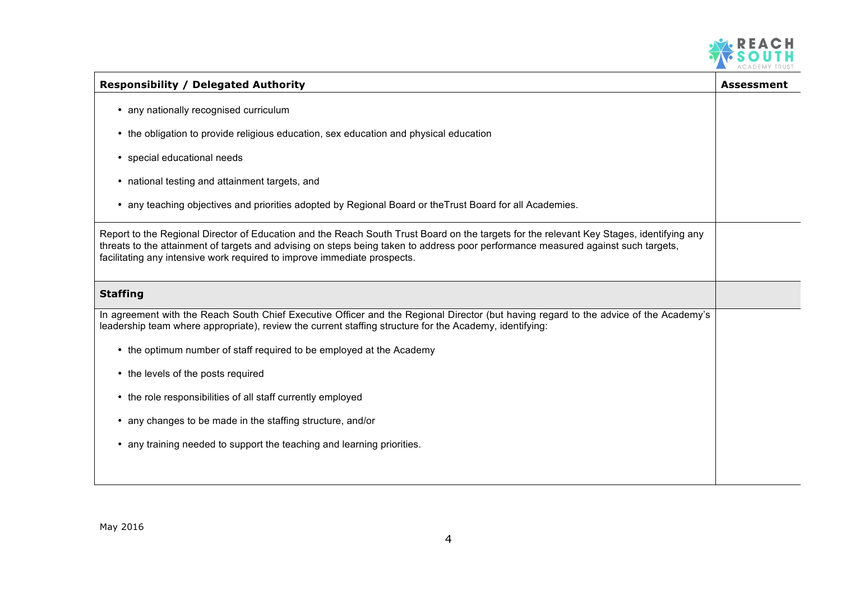

| <b>Responsibility / Delegated Authority</b>                                                                                                                                                                                                                                                                                                               | Assessment |
|-----------------------------------------------------------------------------------------------------------------------------------------------------------------------------------------------------------------------------------------------------------------------------------------------------------------------------------------------------------|------------|
| • any nationally recognised curriculum                                                                                                                                                                                                                                                                                                                    |            |
| • the obligation to provide religious education, sex education and physical education                                                                                                                                                                                                                                                                     |            |
| • special educational needs                                                                                                                                                                                                                                                                                                                               |            |
| • national testing and attainment targets, and                                                                                                                                                                                                                                                                                                            |            |
| • any teaching objectives and priorities adopted by Regional Board or the Trust Board for all Academies.                                                                                                                                                                                                                                                  |            |
| Report to the Regional Director of Education and the Reach South Trust Board on the targets for the relevant Key Stages, identifying any<br>threats to the attainment of targets and advising on steps being taken to address poor performance measured against such targets,<br>facilitating any intensive work required to improve immediate prospects. |            |
| <b>Staffing</b>                                                                                                                                                                                                                                                                                                                                           |            |
| In agreement with the Reach South Chief Executive Officer and the Regional Director (but having regard to the advice of the Academy's<br>leadership team where appropriate), review the current staffing structure for the Academy, identifying:                                                                                                          |            |
| • the optimum number of staff required to be employed at the Academy                                                                                                                                                                                                                                                                                      |            |
| • the levels of the posts required                                                                                                                                                                                                                                                                                                                        |            |
| • the role responsibilities of all staff currently employed                                                                                                                                                                                                                                                                                               |            |
| • any changes to be made in the staffing structure, and/or                                                                                                                                                                                                                                                                                                |            |
| • any training needed to support the teaching and learning priorities.                                                                                                                                                                                                                                                                                    |            |
|                                                                                                                                                                                                                                                                                                                                                           |            |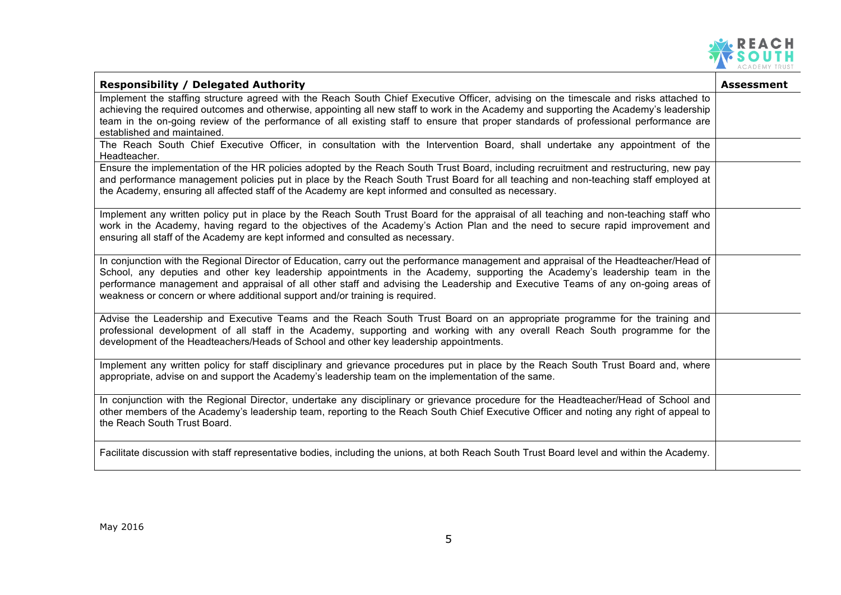

| <b>Responsibility / Delegated Authority</b>                                                                                                                                                                                                                                                                                                                                                                                                                                             | <b>Assessment</b> |
|-----------------------------------------------------------------------------------------------------------------------------------------------------------------------------------------------------------------------------------------------------------------------------------------------------------------------------------------------------------------------------------------------------------------------------------------------------------------------------------------|-------------------|
| Implement the staffing structure agreed with the Reach South Chief Executive Officer, advising on the timescale and risks attached to                                                                                                                                                                                                                                                                                                                                                   |                   |
| achieving the required outcomes and otherwise, appointing all new staff to work in the Academy and supporting the Academy's leadership<br>team in the on-going review of the performance of all existing staff to ensure that proper standards of professional performance are                                                                                                                                                                                                          |                   |
| established and maintained.                                                                                                                                                                                                                                                                                                                                                                                                                                                             |                   |
| The Reach South Chief Executive Officer, in consultation with the Intervention Board, shall undertake any appointment of the<br>Headteacher.                                                                                                                                                                                                                                                                                                                                            |                   |
| Ensure the implementation of the HR policies adopted by the Reach South Trust Board, including recruitment and restructuring, new pay                                                                                                                                                                                                                                                                                                                                                   |                   |
| and performance management policies put in place by the Reach South Trust Board for all teaching and non-teaching staff employed at<br>the Academy, ensuring all affected staff of the Academy are kept informed and consulted as necessary.                                                                                                                                                                                                                                            |                   |
| Implement any written policy put in place by the Reach South Trust Board for the appraisal of all teaching and non-teaching staff who<br>work in the Academy, having regard to the objectives of the Academy's Action Plan and the need to secure rapid improvement and<br>ensuring all staff of the Academy are kept informed and consulted as necessary.                                                                                                                              |                   |
| In conjunction with the Regional Director of Education, carry out the performance management and appraisal of the Headteacher/Head of<br>School, any deputies and other key leadership appointments in the Academy, supporting the Academy's leadership team in the<br>performance management and appraisal of all other staff and advising the Leadership and Executive Teams of any on-going areas of<br>weakness or concern or where additional support and/or training is required. |                   |
| Advise the Leadership and Executive Teams and the Reach South Trust Board on an appropriate programme for the training and<br>professional development of all staff in the Academy, supporting and working with any overall Reach South programme for the<br>development of the Headteachers/Heads of School and other key leadership appointments.                                                                                                                                     |                   |
| Implement any written policy for staff disciplinary and grievance procedures put in place by the Reach South Trust Board and, where<br>appropriate, advise on and support the Academy's leadership team on the implementation of the same.                                                                                                                                                                                                                                              |                   |
| In conjunction with the Regional Director, undertake any disciplinary or grievance procedure for the Headteacher/Head of School and<br>other members of the Academy's leadership team, reporting to the Reach South Chief Executive Officer and noting any right of appeal to<br>the Reach South Trust Board.                                                                                                                                                                           |                   |
| Facilitate discussion with staff representative bodies, including the unions, at both Reach South Trust Board level and within the Academy.                                                                                                                                                                                                                                                                                                                                             |                   |